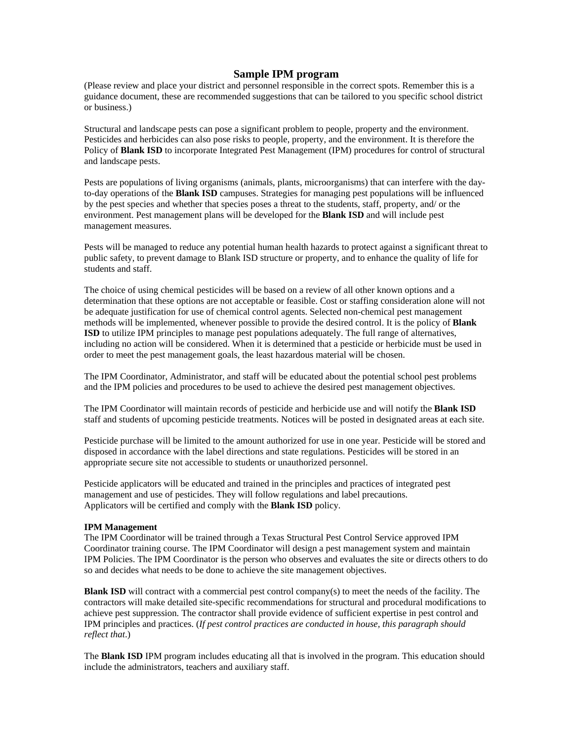# **Sample IPM program**

(Please review and place your district and personnel responsible in the correct spots. Remember this is a guidance document, these are recommended suggestions that can be tailored to you specific school district or business.)

Structural and landscape pests can pose a significant problem to people, property and the environment. Pesticides and herbicides can also pose risks to people, property, and the environment. It is therefore the Policy of **Blank ISD** to incorporate Integrated Pest Management (IPM) procedures for control of structural and landscape pests.

Pests are populations of living organisms (animals, plants, microorganisms) that can interfere with the dayto-day operations of the **Blank ISD** campuses. Strategies for managing pest populations will be influenced by the pest species and whether that species poses a threat to the students, staff, property, and/ or the environment. Pest management plans will be developed for the **Blank ISD** and will include pest management measures.

Pests will be managed to reduce any potential human health hazards to protect against a significant threat to public safety, to prevent damage to Blank ISD structure or property, and to enhance the quality of life for students and staff.

The choice of using chemical pesticides will be based on a review of all other known options and a determination that these options are not acceptable or feasible. Cost or staffing consideration alone will not be adequate justification for use of chemical control agents. Selected non-chemical pest management methods will be implemented, whenever possible to provide the desired control. It is the policy of **Blank ISD** to utilize IPM principles to manage pest populations adequately. The full range of alternatives, including no action will be considered. When it is determined that a pesticide or herbicide must be used in order to meet the pest management goals, the least hazardous material will be chosen.

The IPM Coordinator, Administrator, and staff will be educated about the potential school pest problems and the IPM policies and procedures to be used to achieve the desired pest management objectives.

The IPM Coordinator will maintain records of pesticide and herbicide use and will notify the **Blank ISD**  staff and students of upcoming pesticide treatments. Notices will be posted in designated areas at each site.

Pesticide purchase will be limited to the amount authorized for use in one year. Pesticide will be stored and disposed in accordance with the label directions and state regulations. Pesticides will be stored in an appropriate secure site not accessible to students or unauthorized personnel.

Pesticide applicators will be educated and trained in the principles and practices of integrated pest management and use of pesticides. They will follow regulations and label precautions. Applicators will be certified and comply with the **Blank ISD** policy.

#### **IPM Management**

The IPM Coordinator will be trained through a Texas Structural Pest Control Service approved IPM Coordinator training course. The IPM Coordinator will design a pest management system and maintain IPM Policies. The IPM Coordinator is the person who observes and evaluates the site or directs others to do so and decides what needs to be done to achieve the site management objectives.

**Blank ISD** will contract with a commercial pest control company(s) to meet the needs of the facility. The contractors will make detailed site-specific recommendations for structural and procedural modifications to achieve pest suppression. The contractor shall provide evidence of sufficient expertise in pest control and IPM principles and practices. (*If pest control practices are conducted in house, this paragraph should reflect that*.)

The **Blank ISD** IPM program includes educating all that is involved in the program. This education should include the administrators, teachers and auxiliary staff.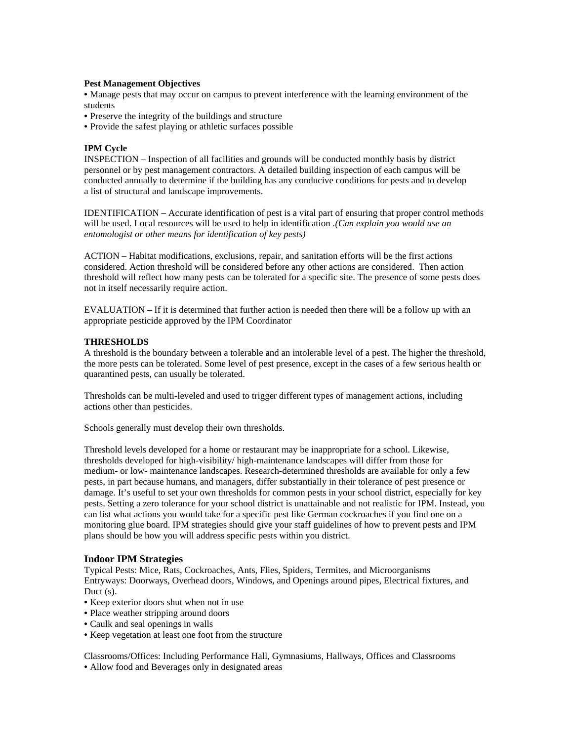#### **Pest Management Objectives**

• Manage pests that may occur on campus to prevent interference with the learning environment of the students

- Preserve the integrity of the buildings and structure
- Provide the safest playing or athletic surfaces possible

### **IPM Cycle**

INSPECTION – Inspection of all facilities and grounds will be conducted monthly basis by district personnel or by pest management contractors. A detailed building inspection of each campus will be conducted annually to determine if the building has any conducive conditions for pests and to develop a list of structural and landscape improvements.

IDENTIFICATION – Accurate identification of pest is a vital part of ensuring that proper control methods will be used. Local resources will be used to help in identification *.(Can explain you would use an entomologist or other means for identification of key pests)* 

ACTION – Habitat modifications, exclusions, repair, and sanitation efforts will be the first actions considered. Action threshold will be considered before any other actions are considered. Then action threshold will reflect how many pests can be tolerated for a specific site. The presence of some pests does not in itself necessarily require action.

EVALUATION – If it is determined that further action is needed then there will be a follow up with an appropriate pesticide approved by the IPM Coordinator

#### **THRESHOLDS**

A threshold is the boundary between a tolerable and an intolerable level of a pest. The higher the threshold, the more pests can be tolerated. Some level of pest presence, except in the cases of a few serious health or quarantined pests, can usually be tolerated.

Thresholds can be multi-leveled and used to trigger different types of management actions, including actions other than pesticides.

Schools generally must develop their own thresholds.

Threshold levels developed for a home or restaurant may be inappropriate for a school. Likewise, thresholds developed for high-visibility/ high-maintenance landscapes will differ from those for medium- or low- maintenance landscapes. Research-determined thresholds are available for only a few pests, in part because humans, and managers, differ substantially in their tolerance of pest presence or damage. It's useful to set your own thresholds for common pests in your school district, especially for key pests. Setting a zero tolerance for your school district is unattainable and not realistic for IPM. Instead, you can list what actions you would take for a specific pest like German cockroaches if you find one on a monitoring glue board. IPM strategies should give your staff guidelines of how to prevent pests and IPM plans should be how you will address specific pests within you district.

#### **Indoor IPM Strategies**

Typical Pests: Mice, Rats, Cockroaches, Ants, Flies, Spiders, Termites, and Microorganisms Entryways: Doorways, Overhead doors, Windows, and Openings around pipes, Electrical fixtures, and Duct (s).

- Keep exterior doors shut when not in use
- Place weather stripping around doors
- Caulk and seal openings in walls
- Keep vegetation at least one foot from the structure

Classrooms/Offices: Including Performance Hall, Gymnasiums, Hallways, Offices and Classrooms • Allow food and Beverages only in designated areas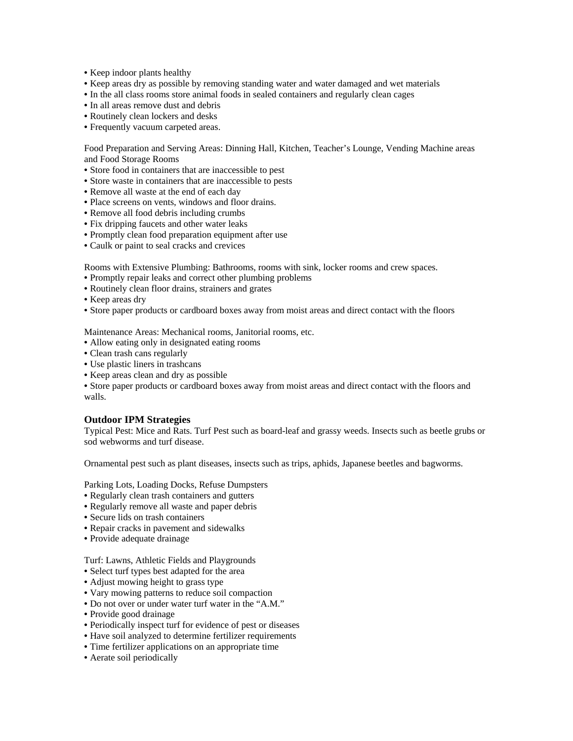- Keep indoor plants healthy
- Keep areas dry as possible by removing standing water and water damaged and wet materials
- In the all class rooms store animal foods in sealed containers and regularly clean cages
- In all areas remove dust and debris
- Routinely clean lockers and desks
- Frequently vacuum carpeted areas.

Food Preparation and Serving Areas: Dinning Hall, Kitchen, Teacher's Lounge, Vending Machine areas and Food Storage Rooms

- Store food in containers that are inaccessible to pest
- Store waste in containers that are inaccessible to pests
- Remove all waste at the end of each day
- Place screens on vents, windows and floor drains.
- Remove all food debris including crumbs
- Fix dripping faucets and other water leaks
- Promptly clean food preparation equipment after use
- Caulk or paint to seal cracks and crevices

Rooms with Extensive Plumbing: Bathrooms, rooms with sink, locker rooms and crew spaces.

- Promptly repair leaks and correct other plumbing problems
- Routinely clean floor drains, strainers and grates
- Keep areas dry
- Store paper products or cardboard boxes away from moist areas and direct contact with the floors

Maintenance Areas: Mechanical rooms, Janitorial rooms, etc.

- Allow eating only in designated eating rooms
- Clean trash cans regularly
- Use plastic liners in trashcans
- Keep areas clean and dry as possible

• Store paper products or cardboard boxes away from moist areas and direct contact with the floors and walls.

# **Outdoor IPM Strategies**

Typical Pest: Mice and Rats. Turf Pest such as board-leaf and grassy weeds. Insects such as beetle grubs or sod webworms and turf disease.

Ornamental pest such as plant diseases, insects such as trips, aphids, Japanese beetles and bagworms.

Parking Lots, Loading Docks, Refuse Dumpsters

- Regularly clean trash containers and gutters
- Regularly remove all waste and paper debris
- Secure lids on trash containers
- Repair cracks in pavement and sidewalks
- Provide adequate drainage

Turf: Lawns, Athletic Fields and Playgrounds

- Select turf types best adapted for the area
- Adjust mowing height to grass type
- Vary mowing patterns to reduce soil compaction
- Do not over or under water turf water in the "A.M."
- Provide good drainage
- Periodically inspect turf for evidence of pest or diseases
- Have soil analyzed to determine fertilizer requirements
- Time fertilizer applications on an appropriate time
- Aerate soil periodically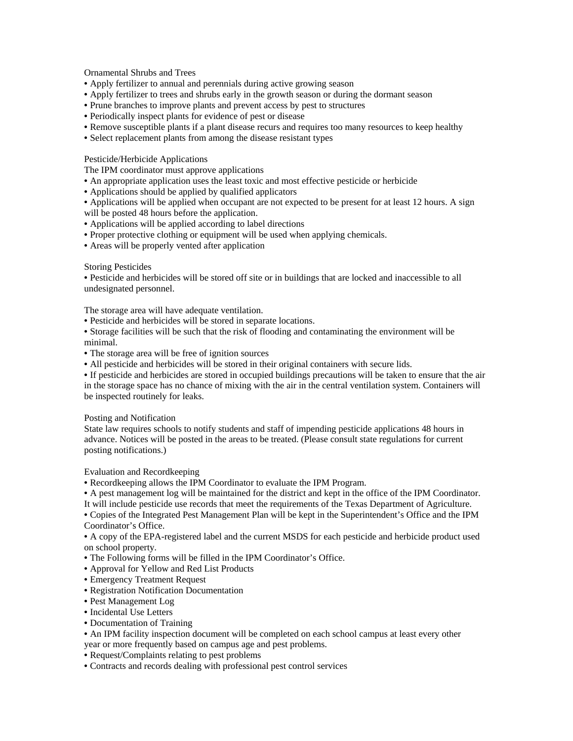# Ornamental Shrubs and Trees

- Apply fertilizer to annual and perennials during active growing season
- Apply fertilizer to trees and shrubs early in the growth season or during the dormant season
- Prune branches to improve plants and prevent access by pest to structures
- Periodically inspect plants for evidence of pest or disease
- Remove susceptible plants if a plant disease recurs and requires too many resources to keep healthy
- Select replacement plants from among the disease resistant types

# Pesticide/Herbicide Applications

The IPM coordinator must approve applications

- An appropriate application uses the least toxic and most effective pesticide or herbicide
- Applications should be applied by qualified applicators

• Applications will be applied when occupant are not expected to be present for at least 12 hours. A sign will be posted 48 hours before the application.

- Applications will be applied according to label directions
- Proper protective clothing or equipment will be used when applying chemicals.
- Areas will be properly vented after application

# Storing Pesticides

• Pesticide and herbicides will be stored off site or in buildings that are locked and inaccessible to all undesignated personnel.

The storage area will have adequate ventilation.

- Pesticide and herbicides will be stored in separate locations.
- Storage facilities will be such that the risk of flooding and contaminating the environment will be minimal.
- The storage area will be free of ignition sources
- All pesticide and herbicides will be stored in their original containers with secure lids.

• If pesticide and herbicides are stored in occupied buildings precautions will be taken to ensure that the air in the storage space has no chance of mixing with the air in the central ventilation system. Containers will be inspected routinely for leaks.

#### Posting and Notification

State law requires schools to notify students and staff of impending pesticide applications 48 hours in advance. Notices will be posted in the areas to be treated. (Please consult state regulations for current posting notifications.)

Evaluation and Recordkeeping

• Recordkeeping allows the IPM Coordinator to evaluate the IPM Program.

• A pest management log will be maintained for the district and kept in the office of the IPM Coordinator. It will include pesticide use records that meet the requirements of the Texas Department of Agriculture.

• Copies of the Integrated Pest Management Plan will be kept in the Superintendent's Office and the IPM Coordinator's Office.

• A copy of the EPA-registered label and the current MSDS for each pesticide and herbicide product used on school property.

• The Following forms will be filled in the IPM Coordinator's Office.

- Approval for Yellow and Red List Products
- Emergency Treatment Request
- Registration Notification Documentation
- Pest Management Log
- Incidental Use Letters
- Documentation of Training

• An IPM facility inspection document will be completed on each school campus at least every other

- year or more frequently based on campus age and pest problems.
- Request/Complaints relating to pest problems

• Contracts and records dealing with professional pest control services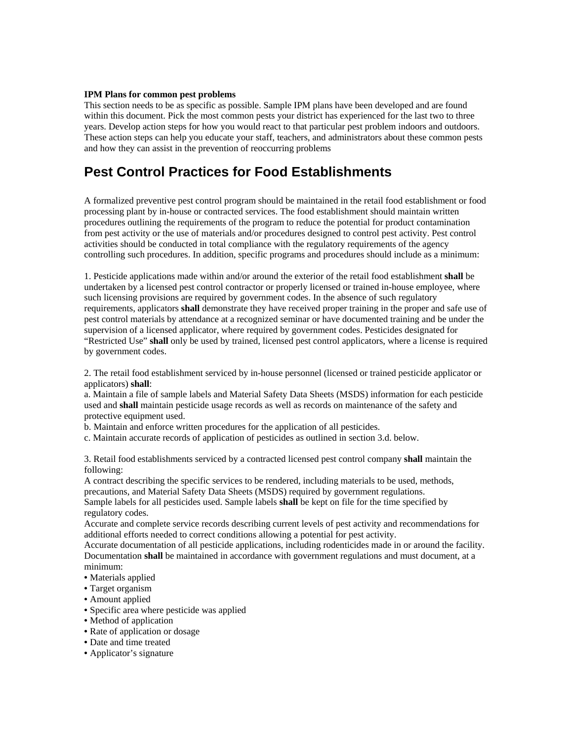#### **IPM Plans for common pest problems**

This section needs to be as specific as possible. Sample IPM plans have been developed and are found within this document. Pick the most common pests your district has experienced for the last two to three years. Develop action steps for how you would react to that particular pest problem indoors and outdoors. These action steps can help you educate your staff, teachers, and administrators about these common pests and how they can assist in the prevention of reoccurring problems

# **Pest Control Practices for Food Establishments**

A formalized preventive pest control program should be maintained in the retail food establishment or food processing plant by in-house or contracted services. The food establishment should maintain written procedures outlining the requirements of the program to reduce the potential for product contamination from pest activity or the use of materials and/or procedures designed to control pest activity. Pest control activities should be conducted in total compliance with the regulatory requirements of the agency controlling such procedures. In addition, specific programs and procedures should include as a minimum:

1. Pesticide applications made within and/or around the exterior of the retail food establishment **shall** be undertaken by a licensed pest control contractor or properly licensed or trained in-house employee, where such licensing provisions are required by government codes. In the absence of such regulatory requirements, applicators **shall** demonstrate they have received proper training in the proper and safe use of pest control materials by attendance at a recognized seminar or have documented training and be under the supervision of a licensed applicator, where required by government codes. Pesticides designated for "Restricted Use" **shall** only be used by trained, licensed pest control applicators, where a license is required by government codes.

2. The retail food establishment serviced by in-house personnel (licensed or trained pesticide applicator or applicators) **shall**:

a. Maintain a file of sample labels and Material Safety Data Sheets (MSDS) information for each pesticide used and **shall** maintain pesticide usage records as well as records on maintenance of the safety and protective equipment used.

b. Maintain and enforce written procedures for the application of all pesticides.

c. Maintain accurate records of application of pesticides as outlined in section 3.d. below.

3. Retail food establishments serviced by a contracted licensed pest control company **shall** maintain the following:

A contract describing the specific services to be rendered, including materials to be used, methods, precautions, and Material Safety Data Sheets (MSDS) required by government regulations. Sample labels for all pesticides used. Sample labels **shall** be kept on file for the time specified by regulatory codes.

Accurate and complete service records describing current levels of pest activity and recommendations for additional efforts needed to correct conditions allowing a potential for pest activity.

Accurate documentation of all pesticide applications, including rodenticides made in or around the facility. Documentation **shall** be maintained in accordance with government regulations and must document, at a minimum:

- Materials applied
- Target organism
- Amount applied
- Specific area where pesticide was applied
- Method of application
- Rate of application or dosage
- Date and time treated
- Applicator's signature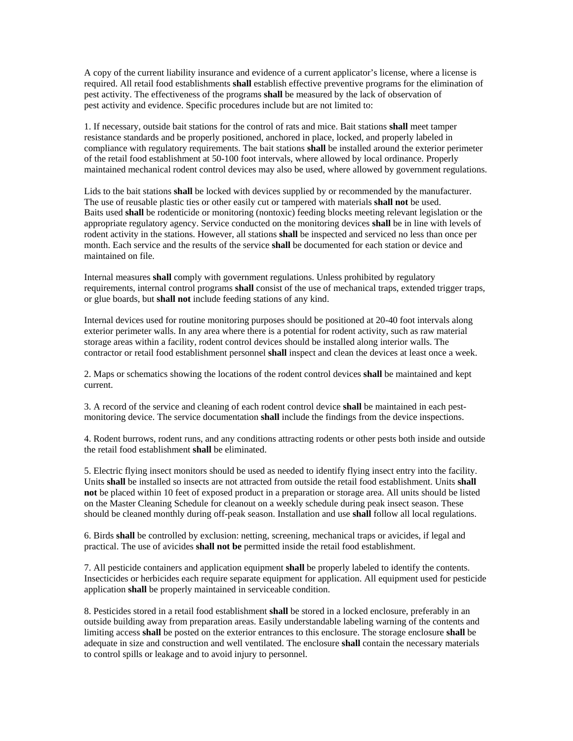A copy of the current liability insurance and evidence of a current applicator's license, where a license is required. All retail food establishments **shall** establish effective preventive programs for the elimination of pest activity. The effectiveness of the programs **shall** be measured by the lack of observation of pest activity and evidence. Specific procedures include but are not limited to:

1. If necessary, outside bait stations for the control of rats and mice. Bait stations **shall** meet tamper resistance standards and be properly positioned, anchored in place, locked, and properly labeled in compliance with regulatory requirements. The bait stations **shall** be installed around the exterior perimeter of the retail food establishment at 50-100 foot intervals, where allowed by local ordinance. Properly maintained mechanical rodent control devices may also be used, where allowed by government regulations.

Lids to the bait stations **shall** be locked with devices supplied by or recommended by the manufacturer. The use of reusable plastic ties or other easily cut or tampered with materials **shall not** be used. Baits used **shall** be rodenticide or monitoring (nontoxic) feeding blocks meeting relevant legislation or the appropriate regulatory agency. Service conducted on the monitoring devices **shall** be in line with levels of rodent activity in the stations. However, all stations **shall** be inspected and serviced no less than once per month. Each service and the results of the service **shall** be documented for each station or device and maintained on file.

Internal measures **shall** comply with government regulations. Unless prohibited by regulatory requirements, internal control programs **shall** consist of the use of mechanical traps, extended trigger traps, or glue boards, but **shall not** include feeding stations of any kind.

Internal devices used for routine monitoring purposes should be positioned at 20-40 foot intervals along exterior perimeter walls. In any area where there is a potential for rodent activity, such as raw material storage areas within a facility, rodent control devices should be installed along interior walls. The contractor or retail food establishment personnel **shall** inspect and clean the devices at least once a week.

2. Maps or schematics showing the locations of the rodent control devices **shall** be maintained and kept current.

3. A record of the service and cleaning of each rodent control device **shall** be maintained in each pestmonitoring device. The service documentation **shall** include the findings from the device inspections.

4. Rodent burrows, rodent runs, and any conditions attracting rodents or other pests both inside and outside the retail food establishment **shall** be eliminated.

5. Electric flying insect monitors should be used as needed to identify flying insect entry into the facility. Units **shall** be installed so insects are not attracted from outside the retail food establishment. Units **shall not** be placed within 10 feet of exposed product in a preparation or storage area. All units should be listed on the Master Cleaning Schedule for cleanout on a weekly schedule during peak insect season. These should be cleaned monthly during off-peak season. Installation and use **shall** follow all local regulations.

6. Birds **shall** be controlled by exclusion: netting, screening, mechanical traps or avicides, if legal and practical. The use of avicides **shall not be** permitted inside the retail food establishment.

7. All pesticide containers and application equipment **shall** be properly labeled to identify the contents. Insecticides or herbicides each require separate equipment for application. All equipment used for pesticide application **shall** be properly maintained in serviceable condition.

8. Pesticides stored in a retail food establishment **shall** be stored in a locked enclosure, preferably in an outside building away from preparation areas. Easily understandable labeling warning of the contents and limiting access **shall** be posted on the exterior entrances to this enclosure. The storage enclosure **shall** be adequate in size and construction and well ventilated. The enclosure **shall** contain the necessary materials to control spills or leakage and to avoid injury to personnel.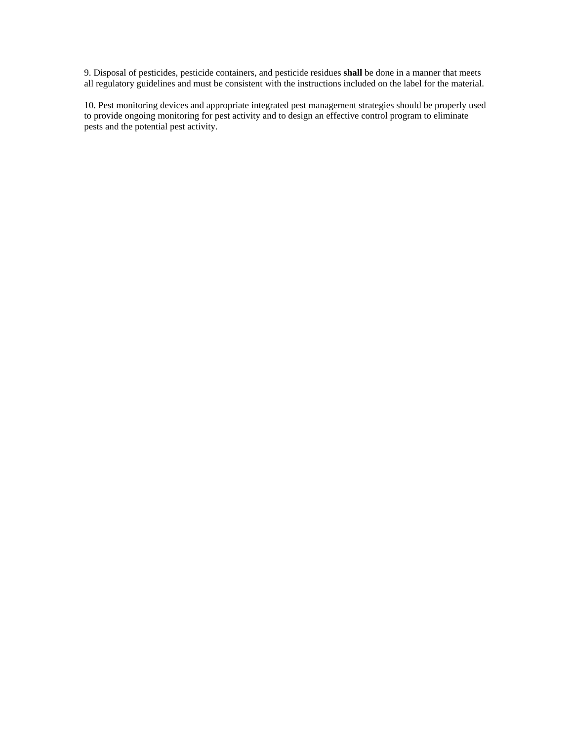9. Disposal of pesticides, pesticide containers, and pesticide residues **shall** be done in a manner that meets all regulatory guidelines and must be consistent with the instructions included on the label for the material.

10. Pest monitoring devices and appropriate integrated pest management strategies should be properly used to provide ongoing monitoring for pest activity and to design an effective control program to eliminate pests and the potential pest activity.